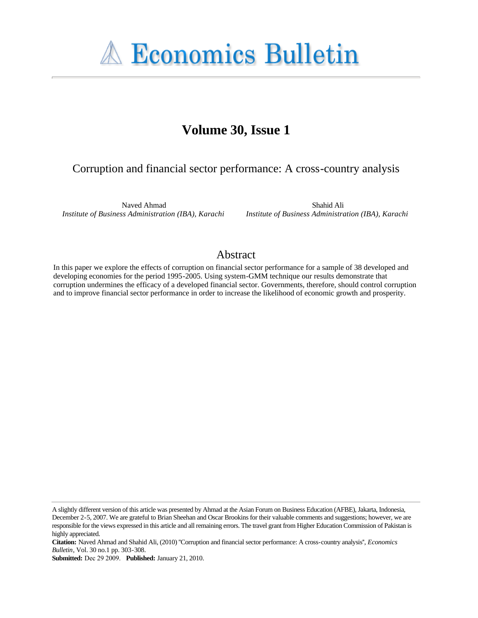**A Economics Bulletin** 

# **Volume 30, Issue 1**

## Corruption and financial sector performance: A cross-country analysis

Naved Ahmad *Institute of Business Administration (IBA), Karachi*

Shahid Ali *Institute of Business Administration (IBA), Karachi*

### Abstract

In this paper we explore the effects of corruption on financial sector performance for a sample of 38 developed and developing economies for the period 1995-2005. Using system-GMM technique our results demonstrate that corruption undermines the efficacy of a developed financial sector. Governments, therefore, should control corruption and to improve financial sector performance in order to increase the likelihood of economic growth and prosperity.

A slightly different version of this article was presented by Ahmad at the Asian Forum on Business Education (AFBE), Jakarta, Indonesia, December 2-5, 2007. We are grateful to Brian Sheehan and Oscar Brookins for their valuable comments and suggestions; however, we are responsible for the views expressed in this article and all remaining errors. The travel grant from Higher Education Commission of Pakistan is highly appreciated.

**Citation:** Naved Ahmad and Shahid Ali, (2010) ''Corruption and financial sector performance: A cross-country analysis'', *Economics Bulletin*, Vol. 30 no.1 pp. 303-308.

**Submitted:** Dec 29 2009. **Published:** January 21, 2010.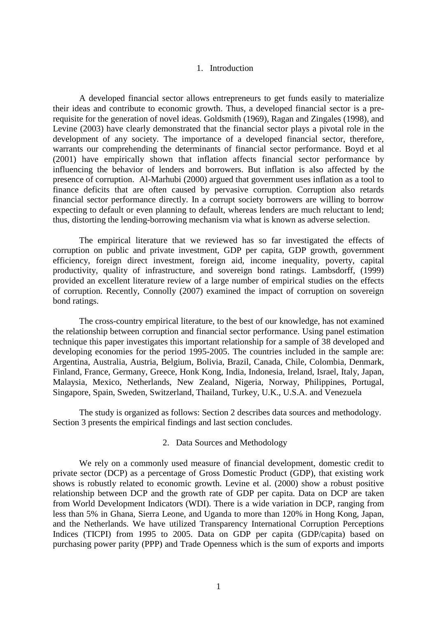#### 1. Introduction

A developed financial sector allows entrepreneurs to get funds easily to materialize their ideas and contribute to economic growth. Thus, a developed financial sector is a prerequisite for the generation of novel ideas. Goldsmith (1969), Ragan and Zingales (1998), and Levine (2003) have clearly demonstrated that the financial sector plays a pivotal role in the development of any society. The importance of a developed financial sector, therefore, warrants our comprehending the determinants of financial sector performance. Boyd et al (2001) have empirically shown that inflation affects financial sector performance by influencing the behavior of lenders and borrowers. But inflation is also affected by the presence of corruption. Al-Marhubi (2000) argued that government uses inflation as a tool to finance deficits that are often caused by pervasive corruption. Corruption also retards financial sector performance directly. In a corrupt society borrowers are willing to borrow expecting to default or even planning to default, whereas lenders are much reluctant to lend; thus, distorting the lending-borrowing mechanism via what is known as adverse selection.

The empirical literature that we reviewed has so far investigated the effects of corruption on public and private investment, GDP per capita, GDP growth, government efficiency, foreign direct investment, foreign aid, income inequality, poverty, capital productivity, quality of infrastructure, and sovereign bond ratings. Lambsdorff, (1999) provided an excellent literature review of a large number of empirical studies on the effects of corruption. Recently, Connolly (2007) examined the impact of corruption on sovereign bond ratings.

The cross-country empirical literature, to the best of our knowledge, has not examined the relationship between corruption and financial sector performance. Using panel estimation technique this paper investigates this important relationship for a sample of 38 developed and developing economies for the period 1995-2005. The countries included in the sample are: Argentina, Australia, Austria, Belgium, Bolivia, Brazil, Canada, Chile, Colombia, Denmark, Finland, France, Germany, Greece, Honk Kong, India, Indonesia, Ireland, Israel, Italy, Japan, Malaysia, Mexico, Netherlands, New Zealand, Nigeria, Norway, Philippines, Portugal, Singapore, Spain, Sweden, Switzerland, Thailand, Turkey, U.K., U.S.A. and Venezuela

The study is organized as follows: Section 2 describes data sources and methodology. Section 3 presents the empirical findings and last section concludes.

#### 2. Data Sources and Methodology

We rely on a commonly used measure of financial development, domestic credit to private sector (DCP) as a percentage of Gross Domestic Product (GDP), that existing work shows is robustly related to economic growth. Levine et al. (2000) show a robust positive relationship between DCP and the growth rate of GDP per capita. Data on DCP are taken from World Development Indicators (WDI). There is a wide variation in DCP, ranging from less than 5% in Ghana, Sierra Leone, and Uganda to more than 120% in Hong Kong, Japan, and the Netherlands. We have utilized Transparency International Corruption Perceptions Indices (TICPI) from 1995 to 2005. Data on GDP per capita (GDP/capita) based on purchasing power parity (PPP) and Trade Openness which is the sum of exports and imports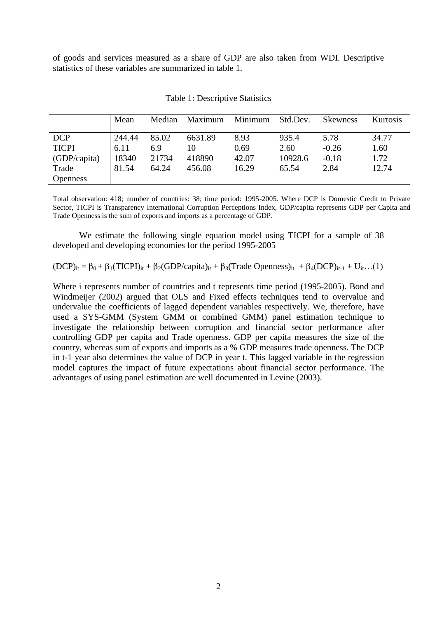of goods and services measured as a share of GDP are also taken from WDI. Descriptive statistics of these variables are summarized in table 1.

|                 | Mean   | Median | Maximum | Minimum | Std.Dev. | <b>Skewness</b> | Kurtosis |
|-----------------|--------|--------|---------|---------|----------|-----------------|----------|
| <b>DCP</b>      | 244.44 | 85.02  | 6631.89 | 8.93    | 935.4    | 5.78            | 34.77    |
| <b>TICPI</b>    | 6.11   | 6.9    | 10      | 0.69    | 2.60     | $-0.26$         | 1.60     |
| (GDP/capita)    | 18340  | 21734  | 418890  | 42.07   | 10928.6  | $-0.18$         | 1.72     |
| Trade           | 81.54  | 64.24  | 456.08  | 16.29   | 65.54    | 2.84            | 12.74    |
| <b>Openness</b> |        |        |         |         |          |                 |          |

Table 1: Descriptive Statistics

Total observation: 418; number of countries: 38; time period: 1995-2005. Where DCP is Domestic Credit to Private Sector, TICPI is Transparency International Corruption Perceptions Index, GDP/capita represents GDP per Capita and Trade Openness is the sum of exports and imports as a percentage of GDP.

We estimate the following single equation model using TICPI for a sample of 38 developed and developing economies for the period 1995-2005

 $(DCP)_{it} = \beta_0 + \beta_1(TICPI)_{it} + \beta_2(GDP/capita)_{it} + \beta_3(Trade\,Openness)_{it} + \beta_4(DCP)_{it-1} + U_{it}$ …(1)

Where i represents number of countries and t represents time period (1995-2005). Bond and Windmeijer (2002) argued that OLS and Fixed effects techniques tend to overvalue and undervalue the coefficients of lagged dependent variables respectively. We, therefore, have used a SYS-GMM (System GMM or combined GMM) panel estimation technique to investigate the relationship between corruption and financial sector performance after controlling GDP per capita and Trade openness. GDP per capita measures the size of the country, whereas sum of exports and imports as a % GDP measures trade openness. The DCP in t-1 year also determines the value of DCP in year t. This lagged variable in the regression model captures the impact of future expectations about financial sector performance. The advantages of using panel estimation are well documented in Levine (2003).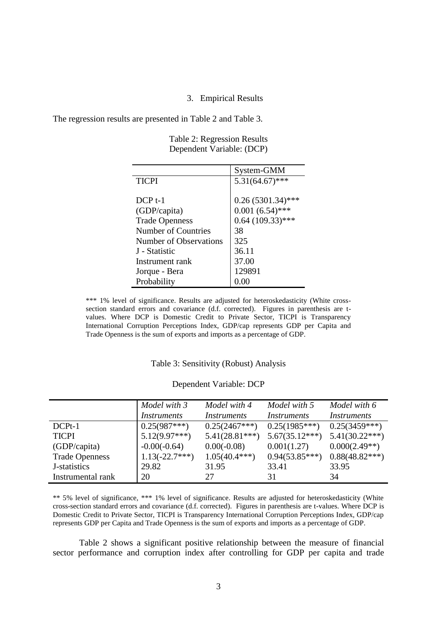#### 3. Empirical Results

The regression results are presented in Table 2 and Table 3.

|                            | System-GMM          |
|----------------------------|---------------------|
| <b>TICPI</b>               | $5.31(64.67)$ ***   |
|                            |                     |
| $DCP t-1$                  | $0.26(5301.34)$ *** |
| (GDP/capita)               | $0.001(6.54)$ ***   |
| <b>Trade Openness</b>      | $0.64$ (109.33)***  |
| <b>Number of Countries</b> | 38                  |
| Number of Observations     | 325                 |
| J - Statistic              | 36.11               |
| Instrument rank            | 37.00               |
| Jorque - Bera              | 129891              |
| Probability                | 0.00                |

Table 2: Regression Results Dependent Variable: (DCP)

\*\*\* 1% level of significance. Results are adjusted for heteroskedasticity (White crosssection standard errors and covariance (d.f. corrected). Figures in parenthesis are tvalues. Where DCP is Domestic Credit to Private Sector, TICPI is Transparency International Corruption Perceptions Index, GDP/cap represents GDP per Capita and Trade Openness is the sum of exports and imports as a percentage of GDP.

#### Table 3: Sensitivity (Robust) Analysis

|                       | Model with 3       | Model with 4       | Model with 5       | Model with 6       |
|-----------------------|--------------------|--------------------|--------------------|--------------------|
|                       | <i>Instruments</i> | <i>Instruments</i> | <i>Instruments</i> | <i>Instruments</i> |
| $DCPt-1$              | $0.25(987***)$     | $0.25(2467***)$    | $0.25(1985***)$    | $0.25(3459***)$    |
| <b>TICPI</b>          | $5.12(9.97***)$    | $5.41(28.81***)$   | $5.67(35.12***)$   | $5.41(30.22***)$   |
| (GDP/capita)          | $-0.00(-0.64)$     | $0.00(-0.08)$      | 0.001(1.27)        | $0.000(2.49**)$    |
| <b>Trade Openness</b> | $1.13(-22.7***)$   | $1.05(40.4***)$    | $0.94(53.85***)$   | $0.88(48.82***)$   |
| J-statistics          | 29.82              | 31.95              | 33.41              | 33.95              |
| Instrumental rank     | 20                 | 27                 | 31                 | 34                 |

#### Dependent Variable: DCP

\*\* 5% level of significance, \*\*\* 1% level of significance. Results are adjusted for heteroskedasticity (White cross-section standard errors and covariance (d.f. corrected). Figures in parenthesis are t-values. Where DCP is Domestic Credit to Private Sector, TICPI is Transparency International Corruption Perceptions Index, GDP/cap represents GDP per Capita and Trade Openness is the sum of exports and imports as a percentage of GDP.

Table 2 shows a significant positive relationship between the measure of financial sector performance and corruption index after controlling for GDP per capita and trade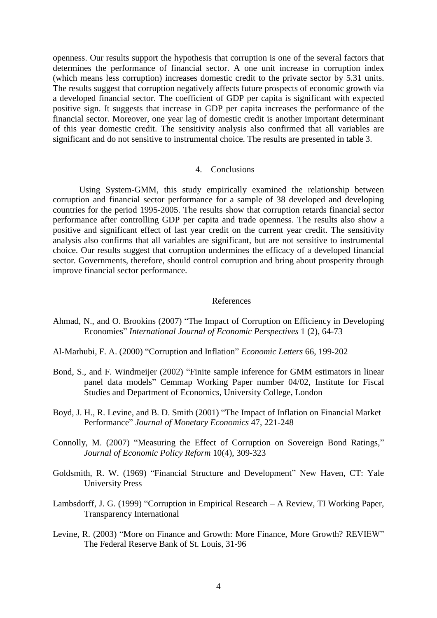openness. Our results support the hypothesis that corruption is one of the several factors that determines the performance of financial sector. A one unit increase in corruption index (which means less corruption) increases domestic credit to the private sector by 5.31 units. The results suggest that corruption negatively affects future prospects of economic growth via a developed financial sector. The coefficient of GDP per capita is significant with expected positive sign. It suggests that increase in GDP per capita increases the performance of the financial sector. Moreover, one year lag of domestic credit is another important determinant of this year domestic credit. The sensitivity analysis also confirmed that all variables are significant and do not sensitive to instrumental choice. The results are presented in table 3.

#### 4. Conclusions

Using System-GMM, this study empirically examined the relationship between corruption and financial sector performance for a sample of 38 developed and developing countries for the period 1995-2005. The results show that corruption retards financial sector performance after controlling GDP per capita and trade openness. The results also show a positive and significant effect of last year credit on the current year credit. The sensitivity analysis also confirms that all variables are significant, but are not sensitive to instrumental choice. Our results suggest that corruption undermines the efficacy of a developed financial sector. Governments, therefore, should control corruption and bring about prosperity through improve financial sector performance.

#### References

- Ahmad, N., and O. Brookins (2007) "The Impact of Corruption on Efficiency in Developing Economies" *International Journal of Economic Perspectives* 1 (2), 64-73
- Al-Marhubi, F. A. (2000) "Corruption and Inflation" *Economic Letters* 66, 199-202
- Bond, S., and F. Windmeijer (2002) "Finite sample inference for GMM estimators in linear panel data models" Cemmap Working Paper number 04/02, Institute for Fiscal Studies and Department of Economics, University College, London
- Boyd, J. H., R. Levine, and B. D. Smith (2001) "The Impact of Inflation on Financial Market Performance" *Journal of Monetary Economics* 47, 221-248
- Connolly, M. (2007) "Measuring the Effect of Corruption on Sovereign Bond Ratings," *Journal of Economic Policy Reform* 10(4), 309-323
- Goldsmith, R. W. (1969) "Financial Structure and Development" New Haven, CT: Yale University Press
- Lambsdorff, J. G. (1999) "Corruption in Empirical Research A Review, TI Working Paper, Transparency International
- Levine, R. (2003) "More on Finance and Growth: More Finance, More Growth? REVIEW" The Federal Reserve Bank of St. Louis, 31-96